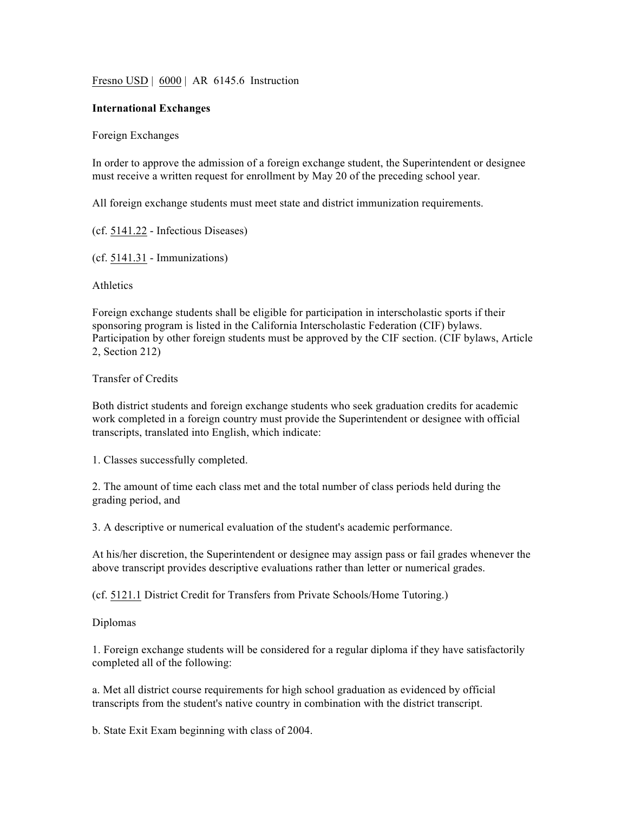Fresno USD | 6000 | AR 6145.6 Instruction

## **International Exchanges**

Foreign Exchanges

In order to approve the admission of a foreign exchange student, the Superintendent or designee must receive a written request for enrollment by May 20 of the preceding school year.

All foreign exchange students must meet state and district immunization requirements.

(cf. 5141.22 - Infectious Diseases)

(cf. 5141.31 - Immunizations)

**Athletics** 

Foreign exchange students shall be eligible for participation in interscholastic sports if their sponsoring program is listed in the California Interscholastic Federation (CIF) bylaws. Participation by other foreign students must be approved by the CIF section. (CIF bylaws, Article 2, Section 212)

## Transfer of Credits

Both district students and foreign exchange students who seek graduation credits for academic work completed in a foreign country must provide the Superintendent or designee with official transcripts, translated into English, which indicate:

1. Classes successfully completed.

2. The amount of time each class met and the total number of class periods held during the grading period, and

3. A descriptive or numerical evaluation of the student's academic performance.

At his/her discretion, the Superintendent or designee may assign pass or fail grades whenever the above transcript provides descriptive evaluations rather than letter or numerical grades.

(cf. 5121.1 District Credit for Transfers from Private Schools/Home Tutoring.)

Diplomas

1. Foreign exchange students will be considered for a regular diploma if they have satisfactorily completed all of the following:

a. Met all district course requirements for high school graduation as evidenced by official transcripts from the student's native country in combination with the district transcript.

b. State Exit Exam beginning with class of 2004.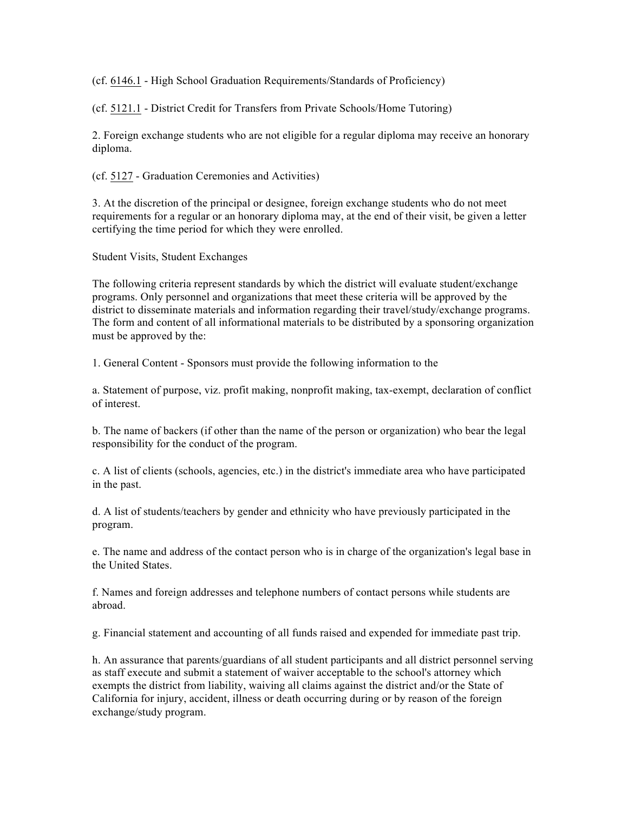(cf. 6146.1 - High School Graduation Requirements/Standards of Proficiency)

(cf. 5121.1 - District Credit for Transfers from Private Schools/Home Tutoring)

2. Foreign exchange students who are not eligible for a regular diploma may receive an honorary diploma.

(cf. 5127 - Graduation Ceremonies and Activities)

3. At the discretion of the principal or designee, foreign exchange students who do not meet requirements for a regular or an honorary diploma may, at the end of their visit, be given a letter certifying the time period for which they were enrolled.

Student Visits, Student Exchanges

The following criteria represent standards by which the district will evaluate student/exchange programs. Only personnel and organizations that meet these criteria will be approved by the district to disseminate materials and information regarding their travel/study/exchange programs. The form and content of all informational materials to be distributed by a sponsoring organization must be approved by the:

1. General Content - Sponsors must provide the following information to the

a. Statement of purpose, viz. profit making, nonprofit making, tax-exempt, declaration of conflict of interest.

b. The name of backers (if other than the name of the person or organization) who bear the legal responsibility for the conduct of the program.

c. A list of clients (schools, agencies, etc.) in the district's immediate area who have participated in the past.

d. A list of students/teachers by gender and ethnicity who have previously participated in the program.

e. The name and address of the contact person who is in charge of the organization's legal base in the United States.

f. Names and foreign addresses and telephone numbers of contact persons while students are abroad.

g. Financial statement and accounting of all funds raised and expended for immediate past trip.

h. An assurance that parents/guardians of all student participants and all district personnel serving as staff execute and submit a statement of waiver acceptable to the school's attorney which exempts the district from liability, waiving all claims against the district and/or the State of California for injury, accident, illness or death occurring during or by reason of the foreign exchange/study program.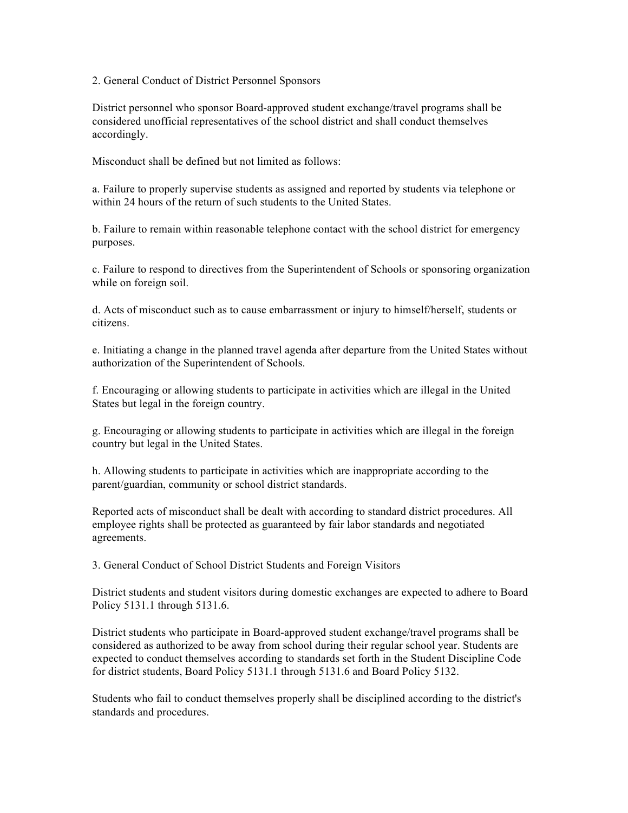2. General Conduct of District Personnel Sponsors

District personnel who sponsor Board-approved student exchange/travel programs shall be considered unofficial representatives of the school district and shall conduct themselves accordingly.

Misconduct shall be defined but not limited as follows:

a. Failure to properly supervise students as assigned and reported by students via telephone or within 24 hours of the return of such students to the United States.

b. Failure to remain within reasonable telephone contact with the school district for emergency purposes.

c. Failure to respond to directives from the Superintendent of Schools or sponsoring organization while on foreign soil.

d. Acts of misconduct such as to cause embarrassment or injury to himself/herself, students or citizens.

e. Initiating a change in the planned travel agenda after departure from the United States without authorization of the Superintendent of Schools.

f. Encouraging or allowing students to participate in activities which are illegal in the United States but legal in the foreign country.

g. Encouraging or allowing students to participate in activities which are illegal in the foreign country but legal in the United States.

h. Allowing students to participate in activities which are inappropriate according to the parent/guardian, community or school district standards.

Reported acts of misconduct shall be dealt with according to standard district procedures. All employee rights shall be protected as guaranteed by fair labor standards and negotiated agreements.

3. General Conduct of School District Students and Foreign Visitors

District students and student visitors during domestic exchanges are expected to adhere to Board Policy 5131.1 through 5131.6.

District students who participate in Board-approved student exchange/travel programs shall be considered as authorized to be away from school during their regular school year. Students are expected to conduct themselves according to standards set forth in the Student Discipline Code for district students, Board Policy 5131.1 through 5131.6 and Board Policy 5132.

Students who fail to conduct themselves properly shall be disciplined according to the district's standards and procedures.